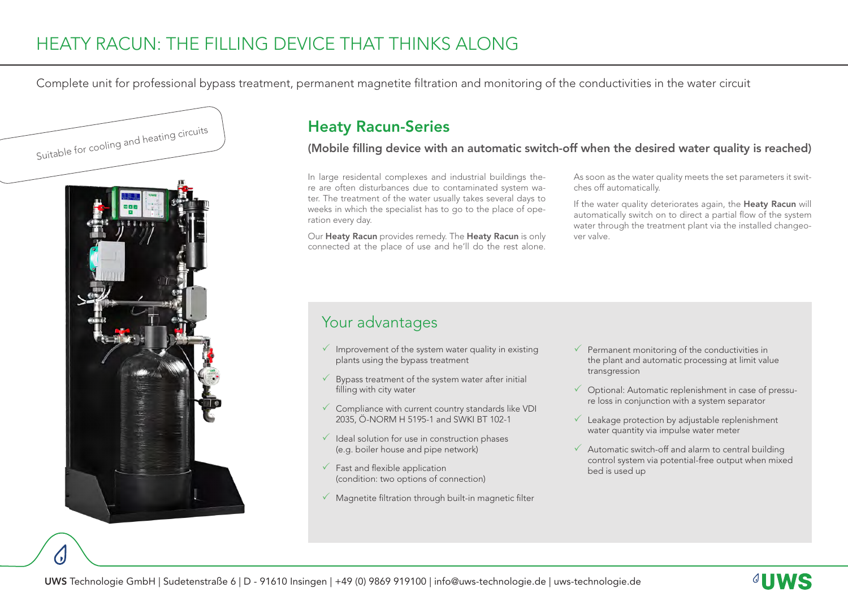Complete unit for professional bypass treatment, permanent magnetite filtration and monitoring of the conductivities in the water circuit



## Heaty Racun-Series

(Mobile filling device with an automatic switch-off when the desired water quality is reached)

In large residental complexes and industrial buildings there are often disturbances due to contaminated system water. The treatment of the water usually takes several days to weeks in which the specialist has to go to the place of operation every day.

Our Heaty Racun provides remedy. The Heaty Racun is only connected at the place of use and he'll do the rest alone.

As soon as the water quality meets the set parameters it switches off automatically.

If the water quality deteriorates again, the Heaty Racun will automatically switch on to direct a partial flow of the system water through the treatment plant via the installed changeover valve.

## Your advantages

- $\sqrt{ }$  Improvement of the system water quality in existing plants using the bypass treatment
- $\checkmark$  Bypass treatment of the system water after initial filling with city water
- $\checkmark$  Compliance with current country standards like VDI 2035, Ö-NORM H 5195-1 and SWKI BT 102-1
- $\checkmark$  Ideal solution for use in construction phases (e.g. boiler house and pipe network)
- $\checkmark$  Fast and flexible application (condition: two options of connection)
- $\sqrt{\ }$  Magnetite filtration through built-in magnetic filter
- $\checkmark$  Permanent monitoring of the conductivities in the plant and automatic processing at limit value transgression
- $\checkmark$  Optional: Automatic replenishment in case of pressure loss in conjunction with a system separator
- $\checkmark$  Leakage protection by adjustable replenishment water quantity via impulse water meter
- $\checkmark$  Automatic switch-off and alarm to central building control system via potential-free output when mixed bed is used up